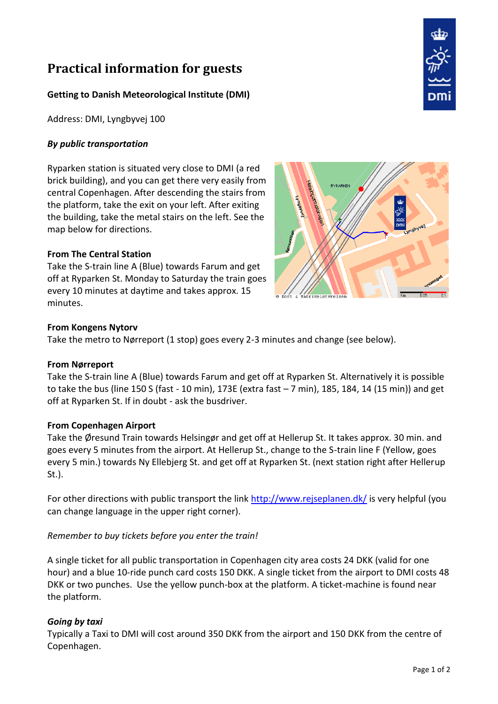# **Practical information for guests**

# **Getting to Danish Meteorological Institute (DMI)**

Address: DMI, Lyngbyvej 100

## *By public transportation*

Ryparken station is situated very close to DMI (a red brick building), and you can get there very easily from central Copenhagen. After descending the stairs from the platform, take the exit on your left. After exiting the building, take the metal stairs on the left. See the map below for directions.

#### **From The Central Station**

Take the S-train line A (Blue) towards Farum and get off at Ryparken St. Monday to Saturday the train goes every 10 minutes at daytime and takes approx. 15 minutes.



#### **From Kongens Nytorv**

Take the metro to Nørreport (1 stop) goes every 2-3 minutes and change (see below).

#### **From Nørreport**

Take the S-train line A (Blue) towards Farum and get off at Ryparken St. Alternatively it is possible to take the bus (line 150 S (fast - 10 min), 173E (extra fast – 7 min), 185, 184, 14 (15 min)) and get off at Ryparken St. If in doubt - ask the busdriver.

#### **From Copenhagen Airport**

Take the Øresund Train towards Helsingør and get off at Hellerup St. It takes approx. 30 min. and goes every 5 minutes from the airport. At Hellerup St., change to the S-train line F (Yellow, goes every 5 min.) towards Ny Ellebjerg St. and get off at Ryparken St. (next station right after Hellerup St.).

For other directions with public transport the link<http://www.rejseplanen.dk/> is very helpful (you can change language in the upper right corner).

#### *Remember to buy tickets before you enter the train!*

A single ticket for all public transportation in Copenhagen city area costs 24 DKK (valid for one hour) and a blue 10-ride punch card costs 150 DKK. A single ticket from the airport to DMI costs 48 DKK or two punches. Use the yellow punch-box at the platform. A ticket-machine is found near the platform.

#### *Going by taxi*

Typically a Taxi to DMI will cost around 350 DKK from the airport and 150 DKK from the centre of Copenhagen.